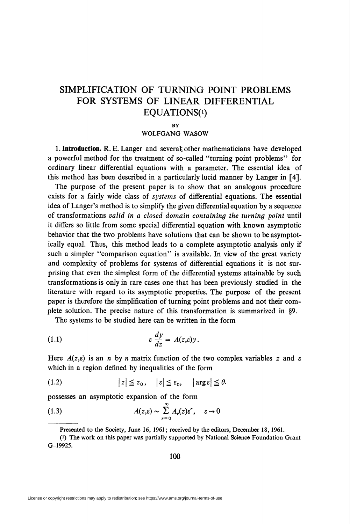# SIMPLIFICATION OF TURNING POINT PROBLEMS FOR SYSTEMS OF LINEAR DIFFERENTIAL EQUATIONS(i)

#### **BY**

# WOLFGANG WASOW

1. Introduction. R. E. Langer and several; other mathematicians have developed a powerful method for the treatment of so-called "turning point problems" for ordinary linear differential equations with a parameter. The essential idea of this method has been described in a particularly lucid manner by Langer in [4].

The purpose of the present paper is to show that an analogous procedure exists for a fairly wide class of systems of differential equations. The essential idea of Langer's method is to simplify the given differential equation by a sequence of transformations valid in a closed domain containing the turning point until it differs so little from some special differential equation with known asymptotic behavior that the two problems have solutions that can be shown to be asymptotically equal. Thus, this method leads to a complete asymptotic analysis only if such a simpler "comparison equation" is available. In view of the great variety and complexity of problems for systems of differential equations it is not surprising that even the simplest form of the differential systems attainable by such transformations is only in rare cases one that has been previously studied in the literature with regard to its asymptotic properties. The purpose of the present paper is therefore the simplification of turning point problems and not their complete solution. The precise nature of this transformation is summarized in §9.

The systems to be studied here can be written in the form

(1.1) 
$$
\varepsilon \frac{dy}{dz} = A(z,\varepsilon)y.
$$

Here  $A(z,\varepsilon)$  is an *n* by *n* matrix function of the two complex variables z and  $\varepsilon$ which in a region defined by inequalities of the form

$$
(1.2) \t\t |z| \leq z_0, \t | \varepsilon| \leq \varepsilon_0, \t | \arg \varepsilon| \leq \theta.
$$

possesses an asymptotic expansion of the form

(1.3) 
$$
A(z,\varepsilon) \sim \sum_{r=0}^{\infty} A_r(z) \varepsilon^r, \quad \varepsilon \to 0
$$

100

Presented to the Society, June 16, 1961; received by the editors, December 18, 1961.

<sup>(!)</sup> The work on this paper was partially supported by National Science Foundation Grant G-19925.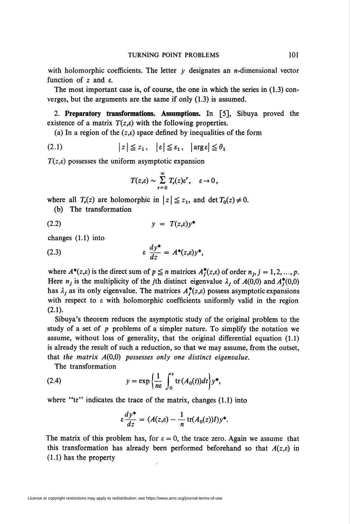with holomorphic coefficients. The letter  $y$  designates an *n*-dimensional vector function of  $z$  and  $\varepsilon$ .

The most important case is, of course, the one in which the series in (1.3) converges, but the arguments are the same if only (1.3) is assumed.

2. Preparatory transformations. Assumptions. In [5], Sibuya proved the existence of a matrix  $T(z,\varepsilon)$  with the following properties.

(a) In a region of the  $(z,\varepsilon)$  space defined by inequalities of the form

$$
(2.1) \t\t |z| \leq z_1, \t |\varepsilon| \leq \varepsilon_1, \t |arg \varepsilon| \leq \theta_1
$$

 $T(z,\varepsilon)$  possesses the uniform asymptotic expansion

$$
T(z,\varepsilon)\sim\sum_{r=0}^{\infty}T_r(z)\varepsilon^r,\quad \varepsilon\to 0,
$$

where all  $T_r(z)$  are holomorphic in  $|z| \leq z_1$ , and det  $T_0(z) \neq 0$ .

(b) The transformation

$$
(2.2) \t\t y = T(z,\varepsilon)y^*
$$

changes (1.1) into

(2.3) 
$$
\varepsilon \frac{dy^*}{dz} = A^*(z,\varepsilon)y^*,
$$

where  $A^*(z,\varepsilon)$  is the direct sum of  $p \leq n$  matrices  $A^*(z,\varepsilon)$  of order  $n_i$ ,  $j = 1,2, ..., p$ . Here  $n_j$  is the multiplicity of the jth distinct eigenvalue  $\lambda_j$  of  $A(0,0)$  and  $A_j^*(0,0)$ has  $\lambda_j$  as its only eigenvalue. The matrices  $A_j^*(z,\varepsilon)$  possess asymptotic expansions with respect to  $\varepsilon$  with holomorphic coefficients uniformly valid in the region (2.1).

Sibuya's theorem reduces the asymptotic study of the original problem to the study of a set of  $p$  problems of a simpler nature. To simplify the notation we assume, without loss of generality, that the original differential equation (1.1) is already the result of such a reduction, so that we may assume, from the outset, that the matrix  $A(0,0)$  possesses only one distinct eigenvalue.

The transformation

(2.4) 
$$
y = \exp\left\{\frac{1}{n\varepsilon} \int_0^z \text{tr}(A_0(t))dt\right\} y^*,
$$

where "tr" indicates the trace of the matrix, changes (1.1) into

$$
\varepsilon \frac{dy^*}{dz} = (A(z,\varepsilon) - \frac{1}{n} \operatorname{tr}(A_0(z))I)y^*.
$$

The matrix of this problem has, for  $\varepsilon = 0$ , the trace zero. Again we assume that this transformation has already been performed beforehand so that  $A(z,\varepsilon)$  in (1.1) has the property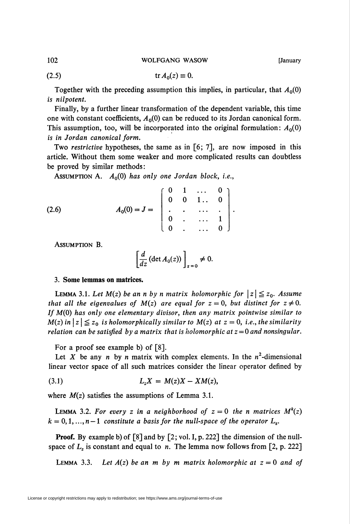102 WOLFGANG WASOW [January

(2.5) tTi4o(z)s0.

Together with the preceding assumption this implies, in particular, that  $A_0(0)$ is nilpotent.

Finally, by a further linear transformation of the dependent variable, this time one with constant coefficients,  $A_0(0)$  can be reduced to its Jordan canonical form. This assumption, too, will be incorporated into the original formulation:  $A_0(0)$ is in Jordan canonical form.

Two restrictive hypotheses, the same as in [6; 7], are now imposed in this article. Without them some weaker and more complicated results can doubtless be proved by similar methods:

ASSUMPTION A.  $A_0(0)$  has only one Jordan block, i.e.,

(2.6) 
$$
A_0(0) = J = \begin{bmatrix} 0 & 1 & \dots & 0 \\ 0 & 0 & 1 & \dots & 0 \\ \vdots & \vdots & \ddots & \vdots & \vdots \\ 0 & \dots & \dots & 1 \\ 0 & \dots & \dots & 0 \end{bmatrix}.
$$

Assumption B.

$$
\left[\frac{d}{dz}\left(\det A_0(z)\right)\right]_{z=0}\neq 0.
$$

# 3. Some lemmas on matrices.

**LEMMA** 3.1. Let  $M(z)$  be an n by n matrix holomorphic for  $|z| \leq z_0$ . Assume that all the eigenvalues of  $M(z)$  are equal for  $z = 0$ , but distinct for  $z \neq 0$ . If  $M(0)$  has only one elementary divisor, then any matrix pointwise similar to  $M(z)$  in  $|z| \leq z_0$  is holomorphically similar to  $M(z)$  at  $z = 0$ , i.e., the similarity relation can be satisfied by a matrix that is holomorphic at  $z = 0$  and nonsingular.

For a proof see example b) of [8].

Let X be any n by n matrix with complex elements. In the  $n^2$ -dimensional linear vector space of all such matrices consider the linear operator defined by

$$
(3.1) \tL_zX = M(z)X - XM(z),
$$

where  $M(z)$  satisfies the assumptions of Lemma 3.1.

**LEMMA** 3.2. For every z in a neighborhood of  $z = 0$  the n matrices  $M<sup>k</sup>(z)$  $k = 0, 1, ..., n-1$  constitute a basis for the null-space of the operator  $L_z$ .

**Proof.** By example b) of [8] and by [2; vol. I, p. 222] the dimension of the nullspace of  $L<sub>z</sub>$  is constant and equal to n. The lemma now follows from [2, p. 222]

LEMMA 3.3. Let  $A(z)$  be an m by m matrix holomorphic at  $z = 0$  and of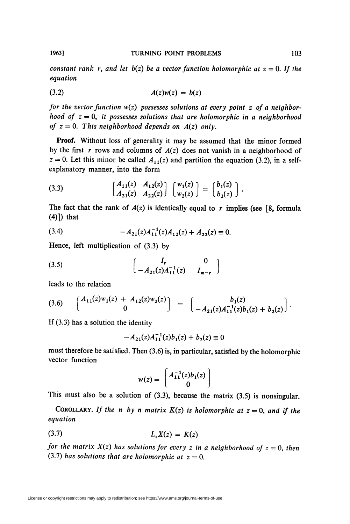constant rank r, and let  $b(z)$  be a vector function holomorphic at  $z = 0$ . If the equation

$$
(3.2) \t\t A(z)w(z) = b(z)
$$

for the vector function  $w(z)$  possesses solutions at every point  $z$  of a neighborhood of  $z = 0$ , it possesses solutions that are holomorphic in a neighborhood of  $z = 0$ . This neighborhood depends on  $A(z)$  only.

Proof. Without loss of generality it may be assumed that the minor formed by the first r rows and columns of  $A(z)$  does not vanish in a neighborhood of  $z = 0$ . Let this minor be called  $A_{11}(z)$  and partition the equation (3.2), in a selfexplanatory manner, into the form

(3.3) 
$$
\begin{bmatrix} A_{11}(z) & A_{12}(z) \ A_{21}(z) & A_{22}(z) \end{bmatrix} \begin{bmatrix} w_1(z) \ w_2(z) \end{bmatrix} = \begin{bmatrix} b_1(z) \ b_2(z) \end{bmatrix}.
$$

The fact that the rank of  $A(z)$  is identically equal to r implies (see [8, formula (4)]) that

(3.4) 
$$
-A_{21}(z)A_{11}^{-1}(z)A_{12}(z)+A_{22}(z) \equiv 0.
$$

Hence, left multiplication of (3.3) by

(3.5) 
$$
\begin{bmatrix} I_r & 0 \\ -A_{21}(z)A_{11}^{-1}(z) & I_{m-r} \end{bmatrix}
$$

leads to the relation

$$
(3.6) \qquad \begin{bmatrix} A_{11}(z)w_1(z) + A_{12}(z)w_2(z) \\ 0 \end{bmatrix} = \begin{bmatrix} b_1(z) \\ -A_{21}(z)A_{11}^{-1}(z)b_1(z) + b_2(z) \end{bmatrix}.
$$

If (3.3) has a solution the identity

$$
-A_{21}(z)A_{11}^{-1}(z)b_1(z) + b_2(z) \equiv 0
$$

must therefore be satisfied. Then (3.6) is, in particular, satisfied by the holomorphic vector function

$$
w(z) = \begin{bmatrix} A_{11}^{-1}(z)b_1(z) \\ 0 \end{bmatrix}
$$

This must also be a solution of (3.3), because the matrix (3.5) is nonsingular.

COROLLARY. If the n by n matrix  $K(z)$  is holomorphic at  $z = 0$ , and if the equation

$$
(3.7) \t\t\t L_z X(z) = K(z)
$$

for the matrix  $X(z)$  has solutions for every z in a neighborhood of  $z = 0$ , then (3.7) has solutions that are holomorphic at  $z = 0$ .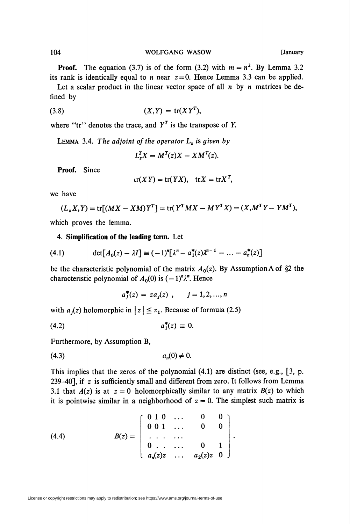#### 104 WOLFGANG WASOW [January

**Proof.** The equation (3.7) is of the form (3.2) with  $m = n^2$ . By Lemma 3.2 its rank is identically equal to *n* near  $z=0$ . Hence Lemma 3.3 can be applied.

Let a scalar product in the linear vector space of all  $n$  by  $n$  matrices be defined by

$$
(3.8) \t\t\t (X,Y) = tr(XY^T),
$$

where "tr" denotes the trace, and  $Y<sup>T</sup>$  is the transpose of Y.

LEMMA 3.4. The adjoint of the operator  $L_z$  is given by

$$
L_z^T X = M^T(z)X - X M^T(z).
$$

Proof. Since

$$
tr(XY) = tr(YX), \quad trX = trX^T,
$$

we have

$$
(L_z X, Y) = \text{tr}[(MX - XM)Y^T] = \text{tr}(Y^T M X - M Y^T X) = (X, M^T Y - Y M^T),
$$

which proves the lemma.

4. Simplification of the leading term. Let

(4.1) 
$$
\det[A_0(z) - \lambda I] \equiv (-1)^n [\lambda^n - a_1^*(z)\lambda^{n-1} - \dots - a_n^*(z)]
$$

be the characteristic polynomial of the matrix  $A_0(z)$ . By Assumption A of §2 the characteristic polynomial of  $A_0(0)$  is  $(-1)^n \lambda^n$ . Hence

$$
a_j^*(z) = za_j(z) , \qquad j = 1, 2, ..., n
$$

with  $a_i(z)$  holomorphic in  $|z| \leq z_1$ . Because of formula (2.5)

$$
(4.2) \t\t a_1^*(z) \equiv 0.
$$

Furthermore, by Assumption B,

$$
(4.3) \t an(0) \neq 0.
$$

This implies that the zeros of the polynomial (4.1) are distinct (see, e.g., [3, p. 239-40], if z is sufficiently small and different from zero. It follows from Lemma 3.1 that  $A(z)$  is at  $z = 0$  holomorphically similar to any matrix  $B(z)$  to which it is pointwise similar in a neighborhood of  $z = 0$ . The simplest such matrix is

(4.4) 
$$
B(z) = \begin{bmatrix} 0 & 1 & 0 & \dots & 0 & 0 \\ 0 & 0 & 1 & \dots & 0 & 0 \\ \vdots & \vdots & \ddots & \vdots & \vdots \\ 0 & \dots & \dots & 0 & 1 \\ a_n(z)z & \dots & a_2(z)z & 0 \end{bmatrix}
$$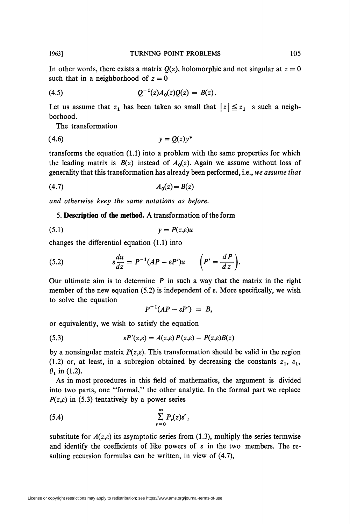In other words, there exists a matrix  $Q(z)$ , holomorphic and not singular at  $z = 0$ such that in a neighborhood of  $z = 0$ 

$$
(4.5) \tQ^{-1}(z)A_0(z)Q(z) = B(z).
$$

Let us assume that  $z_1$  has been taken so small that  $|z| \leq z_1$  s such a neighborhood.

The transformation

$$
(4.6) \t\t y = Q(z)y^*
$$

transforms the equation (1.1) into a problem with the same properties for which the leading matrix is  $B(z)$  instead of  $A<sub>0</sub>(z)$ . Again we assume without loss of generality that this transformation has already been performed, i.e., we assume that

$$
(4.7) \qquad \qquad A_0(z) = B(z)
$$

and otherwise keep the same notations as before.

5. Description of the method. A transformation of the form

$$
(5.1) \t\t y = P(z,\varepsilon)u
$$

changes the differential equation (1.1) into

(5.2) 
$$
\varepsilon \frac{du}{dz} = P^{-1} (AP - \varepsilon P') u \qquad \left( P' = \frac{dP}{dz} \right).
$$

Our ultimate aim is to determine  $P$  in such a way that the matrix in the right member of the new equation (5.2) is independent of e. More specifically, we wish to solve the equation

$$
P^{-1}(AP - \varepsilon P') = B,
$$

or equivalently, we wish to satisfy the equation

(5.3) 
$$
\varepsilon P'(z,\varepsilon) = A(z,\varepsilon) P(z,\varepsilon) - P(z,\varepsilon) B(z)
$$

by a nonsingular matrix  $P(z,\varepsilon)$ . This transformation should be valid in the region (1.2) or, at least, in a subregion obtained by decreasing the constants  $z_1$ ,  $\varepsilon_1$ ,  $\theta_1$  in (1.2).

As in most procedures in this field of mathematics, the argument is divided into two parts, one "formal," the other analytic. In the formal part we replace  $P(z,\varepsilon)$  in (5.3) tentatively by a power series

$$
(5.4) \qquad \qquad \sum_{r=0}^{\infty} P_r(z) \varepsilon^r,
$$

substitute for  $A(z,\varepsilon)$  its asymptotic series from (1.3), multiply the series termwise and identify the coefficients of like powers of  $\varepsilon$  in the two members. The resulting recursion formulas can be written, in view of (4.7),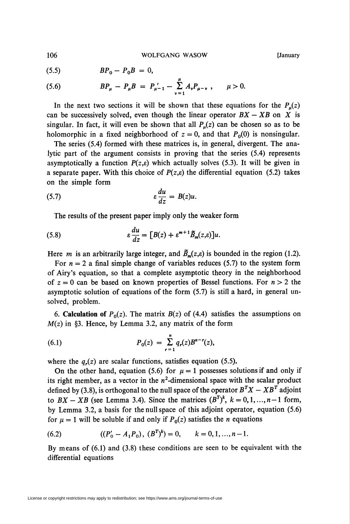(5.6) 
$$
BP_{\mu} - P_{\mu}B = P_{\mu-1} - \sum_{\nu=1}^{\mu} A_{\nu}P_{\mu-\nu} , \quad \mu > 0.
$$

In the next two sections it will be shown that these equations for the  $P_{\mu}(z)$ can be successively solved, even though the linear operator  $BX - XB$  on X is singular. In fact, it will even be shown that all  $P<sub>u</sub>(z)$  can be chosen so as to be holomorphic in a fixed neighborhood of  $z = 0$ , and that  $P_0(0)$  is nonsingular.

The series (5.4) formed with these matrices is, in general, divergent. The analytic part of the argument consists in proving that the series (5.4) represents asymptotically a function  $P(z,\varepsilon)$  which actually solves (5.3). It will be given in a separate paper. With this choice of  $P(z,\varepsilon)$  the differential equation (5.2) takes on the simple form

(5.7) 
$$
\varepsilon \frac{du}{dz} = B(z)u.
$$

The results of the present paper imply only the weaker form

(5.8) 
$$
\epsilon \frac{du}{dz} = [B(z) + \epsilon^{m+1} \tilde{B}_m(z, \epsilon)]u.
$$

Here *m* is an arbitrarily large integer, and  $\tilde{B}_m(z,\varepsilon)$  is bounded in the region (1.2).

For  $n = 2$  a final simple change of variables reduces (5.7) to the system form of Airy's equation, so that a complete asymptotic theory in the neighborhood of  $z = 0$  can be based on known properties of Bessel functions. For  $n > 2$  the asymptotic solution of equations of the form (5.7) is still a hard, in general unsolved, problem.

6. Calculation of  $P_0(z)$ . The matrix  $B(z)$  of (4.4) satisfies the assumptions on  $M(z)$  in §3. Hence, by Lemma 3.2, any matrix of the form

(6.1) 
$$
P_0(z) = \sum_{r=1}^n q_r(z) B^{n-r}(z),
$$

where the  $q_r(z)$  are scalar functions, satisfies equation (5.5).

On the other hand, equation (5.6) for  $\mu = 1$  possesses solutions if and only if its right member, as a vector in the  $n^2$ -dimensional space with the scalar product defined by (3.8), is orthogonal to the null space of the operator  $B^T X - X B^T$  adjoint to  $BX - XB$  (see Lemma 3.4). Since the matrices  $(B^T)^k$ ,  $k = 0, 1, ..., n-1$  form, by Lemma 3.2, a basis for the null space of this adjoint operator, equation (5.6) for  $\mu = 1$  will be soluble if and only if  $P_0(z)$  satisfies the *n* equations

(6.2) 
$$
((P'_0 - A_1 P_0), (B^T)^k) = 0, \qquad k = 0, 1, ..., n-1.
$$

By means of (6.1) and (3.8) these conditions are seen to be equivalent with the differential equations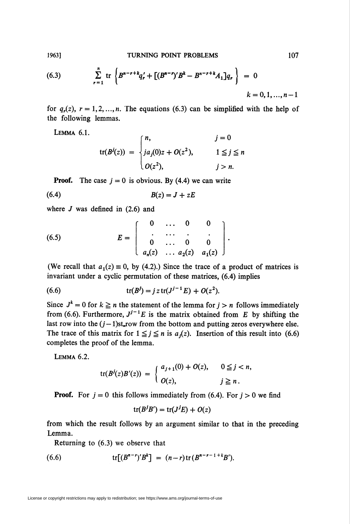(6.3) 
$$
\sum_{r=1}^{n} tr \left\{ B^{n-r+k} q'_r + \left[ (B^{n-r})' B^k - B^{n-r+k} A_1 \right] q_r \right\} = 0
$$

$$
k = 0, 1, ..., n-1
$$

for  $q_r(z)$ ,  $r = 1, 2, ..., n$ . The equations (6.3) can be simplified with the help of the following lemmas.

Lemma 6.1.

$$
\operatorname{tr}(B^{j}(z)) = \begin{cases} n, & j = 0 \\ ja_{j}(0)z + O(z^{2}), & 1 \leq j \leq n \\ O(z^{2}), & j > n. \end{cases}
$$

**Proof.** The case  $j = 0$  is obvious. By (4.4) we can write

$$
(6.4) \t\t\t B(z) = J + zE
$$

where  $J$  was defined in  $(2.6)$  and

(6.5) 
$$
E = \left[ \begin{array}{cccc} 0 & \dots & 0 & 0 \\ \vdots & \vdots & \ddots & \vdots \\ 0 & \dots & 0 & 0 \\ a_n(z) & \dots & a_2(z) & a_1(z) \end{array} \right]
$$

(We recall that  $a_1(z) \equiv 0$ , by (4.2).) Since the trace of a product of matrices is invariant under a cyclic permutation of these matrices, (6.4) implies

(6.6) 
$$
\operatorname{tr}(B^{j}) = j z \operatorname{tr}(J^{j-1} E) + O(z^{2}).
$$

Since  $J^k = 0$  for  $k \ge n$  the statement of the lemma for  $j > n$  follows immediately from (6.6). Furthermore,  $J^{j-1}E$  is the matrix obtained from E by shifting the last row into the  $(j-1)$ st<sub>row</sub> from the bottom and putting zeros everywhere else. The trace of this matrix for  $1 \leq j \leq n$  is  $a_j(z)$ . Insertion of this result into (6.6) completes the proof of the lemma.

Lemma 6.2.

$$
\operatorname{tr}(B^{j}(z)B'(z)) = \begin{cases} a_{j+1}(0) + O(z), & 0 \leq j < n, \\ O(z), & j \geq n. \end{cases}
$$

**Proof.** For  $j = 0$  this follows immediately from (6.4). For  $j > 0$  we find

$$
\operatorname{tr}(B^jB') = \operatorname{tr}(J^jE) + O(z)
$$

from which the result follows by an argument similar to that in the preceding Lemma.

Returning to (6.3) we observe that

(6.6) 
$$
\mathrm{tr}[(B^{n-r})'B^k] = (n-r)\mathrm{tr}(B^{n-r-1+k}B').
$$

1963]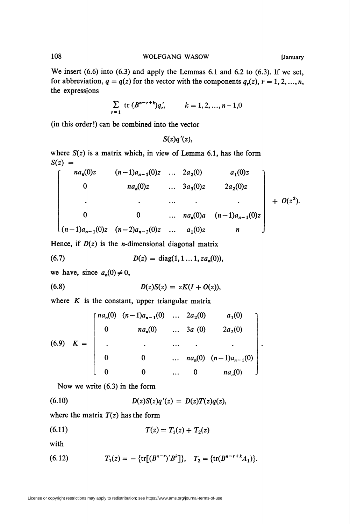We insert (6.6) into (6.3) and apply the Lemmas 6.1 and 6.2 to (6.3). If we set, for abbreviation,  $q = q(z)$  for the vector with the components  $q_r(z)$ ,  $r = 1, 2, ..., n$ , the expressions

$$
\sum_{r=1} \text{ tr } (B^{n-r+k})q'_r, \qquad k = 1, 2, ..., n-1, 0
$$

(in this order!) can be combined into the vector

 $S(z)q'(z)$ ,

where  $S(z)$  is a matrix which, in view of Lemma 6.1, has the form  $S(z) =$ 

$$
\begin{bmatrix}\n na_n(0)z & (n-1)a_{n-1}(0)z & \dots & 2a_2(0) & a_1(0)z \\
 0 & na_n(0)z & \dots & 3a_3(0)z & 2a_2(0)z \\
 \vdots & \vdots & \ddots & \vdots & \vdots \\
 0 & 0 & \dots & na_n(0)a & (n-1)a_{n-1}(0)z \\
 (n-1)a_{n-1}(0)z & (n-2)a_{n-2}(0)z & \dots & a_1(0)z & n\n\end{bmatrix} + O(z^2).
$$

Hence, if  $D(z)$  is the *n*-dimensional diagonal matrix

(6.7) 
$$
D(z) = \text{diag}(1, 1 \dots 1, za_n(0)),
$$

we have, since  $a_n(0) \neq 0$ ,

(6.8) 
$$
D(z)S(z) = zK(I + O(z)),
$$

where  $K$  is the constant, upper triangular matrix

(6.9) 
$$
K = \begin{bmatrix} na_n(0) & (n-1)a_{n-1}(0) & \dots & 2a_2(0) & a_1(0) \\ 0 & na_n(0) & \dots & 3a(0) & 2a_2(0) \\ \vdots & \vdots & \ddots & \vdots & \vdots \\ 0 & 0 & \dots & na_n(0) & (n-1)a_{n-1}(0) \\ 0 & 0 & \dots & 0 & na_n(0) \end{bmatrix}.
$$

Now we write (6.3) in the form

(6.10) 
$$
D(z)S(z)q'(z) = D(z)T(z)q(z),
$$

where the matrix  $T(z)$  has the form

$$
(6.11) \t\t T(z) = T_1(z) + T_2(z)
$$

with

(6.12) 
$$
T_1(z) = -\{\text{tr}[(B^{n-r})'B^k]\}, \quad T_2 = \{\text{tr}(B^{n-r+k}A_1)\}.
$$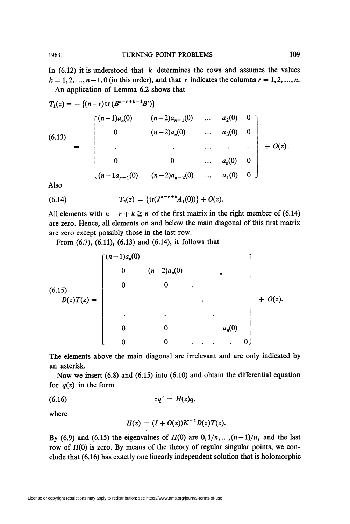In  $(6.12)$  it is understood that k determines the rows and assumes the values  $k = 1, 2, ..., n-1, 0$  (in this order), and that r indicates the columns  $r = 1, 2, ..., n$ . An application of Lemma 6.2 shows that

$$
T_1(z) = -\{(n-r)\text{tr}\left(B^{n-r+k-1}B'\right)\}
$$
\n
$$
(6.13) = -\begin{bmatrix}\n(n-1)a_n(0) & (n-2)a_{n-1}(0) & \dots & a_2(0) & 0 \\
0 & (n-2)a_n(0) & \dots & a_3(0) & 0 \\
\vdots & \vdots & \ddots & \vdots & \ddots & \vdots \\
0 & 0 & \dots & a_n(0) & 0 \\
(n-1a_{n-1}(0) & (n-2)a_{n-2}(0) & \dots & a_1(0) & 0\n\end{bmatrix} + O(z).
$$

Also

(6.14) 
$$
T_2(z) = \{tr(J^{n-r+k}A_1(0))\} + O(z).
$$

All elements with  $n - r + k \geq n$  of the first matrix in the right member of (6.14) are zero. Hence, all elements on and below the main diagonal of this first matrix are zero except possibly those in the last row.

From (6.7), (6.11), (6.13) and (6.14), it follows that

$$
(6.15) \quad D(z)T(z) = \begin{bmatrix} (n-1)a_n(0) & & & & \\ & 0 & (n-2)a_n(0) & & \\ & & 0 & 0 & \\ & & & \ddots & & \\ & & & & \ddots & \\ & & & & & a_n(0) \\ & & & & & 0 & \ddots & \ddots & 0 \end{bmatrix} + O(z).
$$

The elements above the main diagonal are irrelevant and are only indicated by an asterisk.

Now we insert (6.8) and (6.15) into (6.10) and obtain the differential equation for  $q(z)$  in the form

$$
(6.16) \t zq' = H(z)q,
$$

where

$$
H(z) = (I + O(z))K^{-1}D(z)T(z).
$$

By (6.9) and (6.15) the eigenvalues of  $H(0)$  are  $0, 1/n, ..., (n-1)/n$ , and the last row of  $H(0)$  is zero. By means of the theory of regular singular points, we conclude that (6.16) has exactly one linearly independent solution that is holomorphic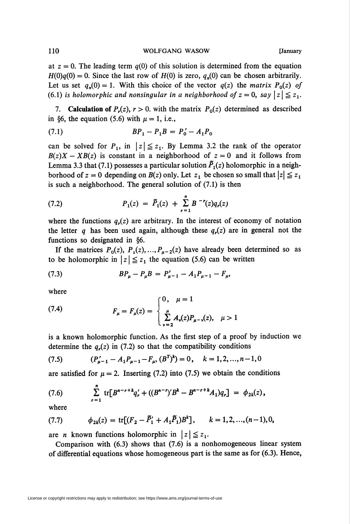at  $z = 0$ . The leading term  $q(0)$  of this solution is determined from the equation  $H(0)q(0) = 0$ . Since the last row of  $H(0)$  is zero,  $q_n(0)$  can be chosen arbitrarily. Let us set  $q_n(0) = 1$ . With this choice of the vector  $q(z)$  the matrix  $P_0(z)$  of (6.1) is holomorphic and nonsingular in a neighborhood of  $z = 0$ , say  $|z| \leq z_1$ .

7. Calculation of  $P_r(z)$ ,  $r>0$ . with the matrix  $P_0(z)$  determined as described in §6, the equation (5.6) with  $\mu = 1$ , i.e.,

$$
(7.1) \t\t\t BP_1 - P_1B = P'_0 - A_1P_0
$$

can be solved for  $P_1$ , in  $|z| \leq z_1$ . By Lemma 3.2 the rank of the operator  $B(z)X - XB(z)$  is constant in a neighborhood of  $z = 0$  and it follows from Lemma 3.3 that (7.1) possesses a particular solution  $\overline{P}_1(z)$  holomorphic in a neighborhood of  $z = 0$  depending on  $B(z)$  only. Let  $z_1$  be chosen so small that  $|z| \leq z_1$ is such a neighborhood. The general solution of (7.1) is then

(7.2) 
$$
P_1(z) = \tilde{P}_1(z) + \sum_{r=1}^{n} B^{-r}(z) q_r(z)
$$

where the functions  $q_r(z)$  are arbitrary. In the interest of economy of notation the letter q has been used again, although these  $q_r(z)$  are in general not the functions so designated in §6.

If the matrices  $P_0(z)$ ,  $P_1(z)$ , ...,  $P_{\mu-2}(z)$  have already been determined so as to be holomorphic in  $|z| \leq z_1$  the equation (5.6) can be written

(7.3) 
$$
BP_{\mu} - P_{\mu}B = P'_{\mu-1} - A_1P_{\mu-1} - F_{\mu},
$$

where

(7.4) 
$$
F_{\mu} = F_{\mu}(z) = \begin{cases} 0, & \mu = 1 \\ \sum_{\nu=2}^{\mu} A_{\nu}(z) P_{\mu-\nu}(z), & \mu > 1 \end{cases}
$$

is a known holomorphic function. As the first step of a proof by induction we determine the  $q_r(z)$  in (7.2) so that the compatibility conditions

(7.5) 
$$
(P'_{\mu-1} - A_1 P_{\mu-1} - F_{\mu}, (B^T)^k) = 0, \quad k = 1, 2, ..., n-1, 0
$$

are satisfied for  $\mu = 2$ . Inserting (7.2) into (7.5) we obtain the conditions

(7.6) 
$$
\sum_{r=1}^{n} tr[B^{n-r+k}q'_{r} + ((B^{n-r})'B^{k} - B^{n-r+k}A_{1})q_{r}] = \phi_{2k}(z),
$$

where

(7.7) 
$$
\phi_{2k}(z) = \text{tr}[(F_2 - \tilde{P}'_1 + A_1\tilde{P}_1)B^k], \qquad k = 1, 2, ..., (n-1), 0,
$$

are *n* known functions holomorphic in  $|z| \leq z_1$ .

Comparison with (6.3) shows that (7.6) is a nonhomogeneous linear system of differential equations whose homogeneous part is the same as for (6.3). Hence,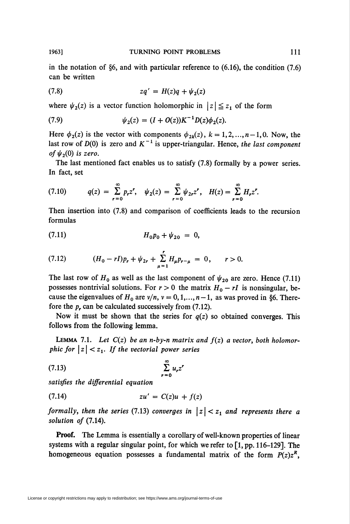in the notation of §6, and with particular reference to (6.16), the condition (7.6) can be written

(7.8) 
$$
zq' = H(z)q + \psi_2(z)
$$

where  $\psi_2(z)$  is a vector function holomorphic in  $|z| \leq z_1$  of the form

(7.9) 
$$
\psi_2(z) = (I + O(z))K^{-1}D(z)\phi_2(z).
$$

Here  $\phi_2(z)$  is the vector with components  $\phi_{2k}(z)$ ,  $k = 1, 2, ..., n-1, 0$ . Now, the last row of  $D(0)$  is zero and  $K^{-1}$  is upper-triangular. Hence, the last component of  $\psi_2(0)$  is zero.

The last mentioned fact enables us to satisfy (7.8) formally by a power series. In fact, set

$$
(7.10) \tq(z) = \sum_{r=0}^{\infty} p_r z^r, \quad \psi_2(z) = \sum_{r=0}^{\infty} \psi_{2r} z^r, \quad H(z) = \sum_{r=0}^{\infty} H_r z^r.
$$

Then insertion into (7.8) and comparison of coefficients leads to the recursion formulas

$$
(7.11) \t\t\t H_0 p_0 + \psi_{20} = 0,
$$

(7.12) 
$$
(H_0 - rI)p_r + \psi_{2r} + \sum_{\mu=1}^r H_{\mu}p_{r-\mu} = 0, \quad r > 0.
$$

The last row of  $H_0$  as well as the last component of  $\psi_{20}$  are zero. Hence (7.11) possesses nontrivial solutions. For  $r > 0$  the matrix  $H_0 - rI$  is nonsingular, because the eigenvalues of  $H_0$  are  $v/n$ ,  $v = 0, 1, ..., n-1$ , as was proved in §6. Therefore the  $p_r$  can be calculated successively from (7.12).

Now it must be shown that the series for  $q(z)$  so obtained converges. This follows from the following lemma.

LEMMA 7.1. Let  $C(z)$  be an n-by-n matrix and  $f(z)$  a vector, both holomorphic for  $|z| < z_1$ . If the vectorial power series

$$
\sum_{r=0}^{\infty} u_r z^r
$$

satisfies the differential equation

$$
(7.14) \t\t\t\t zu' = C(z)u + f(z)
$$

formally, then the series (7.13) converges in  $|z| < z_1$  and represents there a solution of (7.14).

Proof. The Lemma is essentially a corollary of well-known properties of linear systems with a regular singular point, for which we refer to [1, pp. 116-129]. The homogeneous equation possesses a fundamental matrix of the form  $P(z)z^R$ ,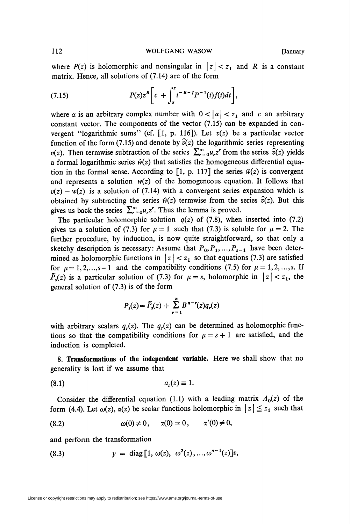where  $P(z)$  is holomorphic and nonsingular in  $|z| < z<sub>1</sub>$  and R is a constant matrix. Hence, all solutions of (7.14) are of the form

(7.15) 
$$
P(z)z^{R}\bigg[c+\int_{\alpha}^{z}t^{-R-1}P^{-1}(t)f(t)dt\bigg],
$$

where  $\alpha$  is an arbitrary complex number with  $0 < |\alpha| < z_1$  and c an arbitrary constant vector. The components of the vector (7.15) can be expanded in convergent "logarithmic sums" (cf. [1, p. 116]). Let  $v(z)$  be a particular vector function of the form (7.15) and denote by  $\hat{v}(z)$  the logarithmic series representing  $v(z)$ . Then termwise subtraction of the series  $\sum_{r=0}^{\infty} u_r z^r$  from the series  $\hat{v}(z)$  yields a formal logarithmic series  $\hat{w}(z)$  that satisfies the homogeneous differential equation in the formal sense. According to [1, p. 117] the series  $\hat{w}(z)$  is convergent and represents a solution  $w(z)$  of the homogeneous equation. It follows that  $v(z) - w(z)$  is a solution of (7.14) with a convergent series expansion which is obtained by subtracting the series  $\hat{w}(z)$  termwise from the series  $\hat{v}(z)$ . But this gives us back the series  $\sum_{r=0}^{\infty} u_r z^r$ . Thus the lemma is proved.

The particular holomorphic solution  $q(z)$  of (7.8), when inserted into (7.2) gives us a solution of (7.3) for  $\mu = 1$  such that (7.3) is soluble for  $\mu = 2$ . The further procedure, by induction, is now quite straightforward, so that only a sketchy description is necessary: Assume that  $P_0, P_1, ..., P_{s-1}$  have been determined as holomorphic functions in  $|z| < z<sub>1</sub>$  so that equations (7.3) are satisfied for  $\mu = 1, 2,...,s-1$  and the compatibility conditions (7.5) for  $\mu = 1, 2, ..., s$ . If  $\tilde{P}_s(z)$  is a particular solution of (7.3) for  $\mu = s$ , holomorphic in  $|z| < z_1$ , the general solution of (7.3) is of the form

$$
P_{s}(z) = \tilde{P}_{s}(z) + \sum_{r=1}^{n} B^{n-r}(z) q_{r}(z)
$$

with arbitrary scalars  $q_r(z)$ . The  $q_r(z)$  can be determined as holomorphic functions so that the compatibility conditions for  $\mu = s + 1$  are satisfied, and the induction is completed.

8. Transformations of the independent variable. Here we shall show that no generality is lost if we assume that

$$
(8.1) \t\t\t a_n(z) \equiv 1.
$$

Consider the differential equation (1.1) with a leading matrix  $A_0(z)$  of the form (4.4). Let  $\omega(z)$ ,  $\alpha(z)$  be scalar functions holomorphic in  $|z| \leq z_1$  such that

$$
(8.2) \qquad \qquad \omega(0) \neq 0, \qquad \alpha(0) = 0, \qquad \alpha'(0) \neq 0,
$$

and perform the transformation

(8.3) 
$$
y = \text{diag}[1, \omega(z), \omega^2(z), ..., \omega^{n-1}(z)]v,
$$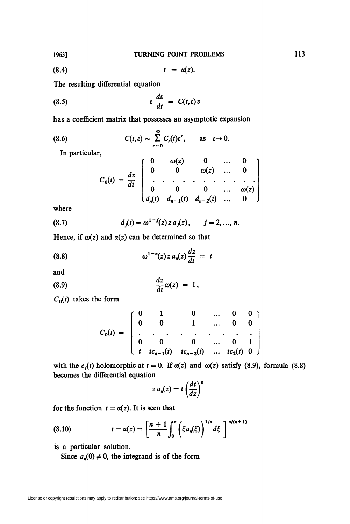$$
(8.4) \t t = \alpha(z).
$$

The resulting differential equation

(8.5) 
$$
\varepsilon \frac{dv}{dt} = C(t, \varepsilon)v
$$

has a coefficient matrix that possesses an asymptotic expansion

(8.6) 
$$
C(t,\varepsilon) \sim \sum_{r=0}^{\infty} C_r(t) \varepsilon^r, \quad \text{as} \quad \varepsilon \to 0.
$$

In particular,

$$
C_0(t) = \frac{dz}{dt} \begin{bmatrix} 0 & \omega(z) & 0 & \dots & 0 \\ 0 & 0 & \omega(z) & \dots & 0 \\ \vdots & \vdots & \ddots & \vdots & \vdots & \vdots \\ 0 & 0 & 0 & \dots & \omega(z) \\ d_n(t) & d_{n-1}(t) & d_{n-2}(t) & \dots & 0 \end{bmatrix}
$$

where

(8.7) 
$$
d_j(t) = \omega^{1-j}(z) z a_j(z), \qquad j = 2, ..., n.
$$

 $\ddot{\phantom{0}}$ 

Hence, if  $\omega(z)$  and  $\alpha(z)$  can be determined so that

(8.8) 
$$
\omega^{1-n}(z) z a_n(z) \frac{dz}{dt} = t
$$

and

$$
\frac{dz}{dt}\omega(z) = 1,
$$

 $C_0(t)$  takes the form

$$
C_0(t) = \begin{bmatrix} 0 & 1 & 0 & \dots & 0 & 0 \\ 0 & 0 & 1 & \dots & 0 & 0 \\ \vdots & \vdots & \vdots & \ddots & \vdots & \vdots & \vdots \\ 0 & 0 & 0 & \dots & 0 & 1 \\ t & t c_{n-1}(t) & t c_{n-2}(t) & \dots & t c_2(t) & 0 \end{bmatrix}
$$

with the  $c_i(t)$  holomorphic at  $t = 0$ . If  $\alpha(z)$  and  $\omega(z)$  satisfy (8.9), formula (8.8) becomes the differential equation

$$
z\,a_n(z)=t\left(\frac{dt}{dz}\right)^n
$$

for the function  $t = \alpha(z)$ . It is seen that

(8.10) 
$$
t = \alpha(z) = \left[\frac{n+1}{n}\int_0^z \left(\xi a_n(\xi)\right)^{1/n} d\xi\right]^{n/(n+1)}
$$

is a particular solution.

Since  $a_n(0) \neq 0$ , the integrand is of the form